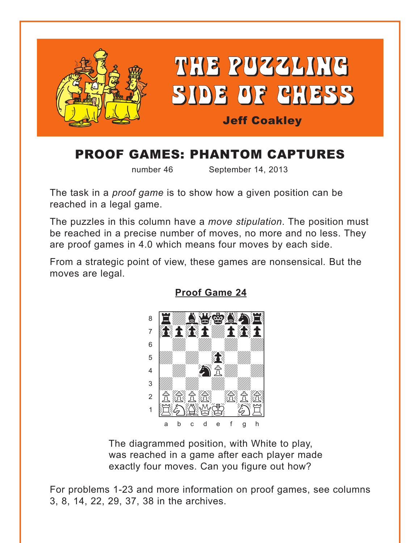<span id="page-0-0"></span>

# PROOF GAMES: PHANTOM CAPTURES

number 46 September 14, 2013

The task in a *proof game* is to show how a given position can be reached in a legal game.

The puzzles in this column have a *move stipulation*. The position must be reached in a precise number of moves, no more and no less. They are proof games in 4.0 which means four moves by each side.

From a strategic point of view, these games are nonsensical*.* But the moves are legal.



**[Proof Game 24](#page-3-0)**

The diagrammed position, with White to play, was reached in a game after each player made exactly four moves. Can you figure out how?

For problems 1-23 and more information on proof games, see columns 3, 8, 14, 22, 29, 37, 38 in the archives.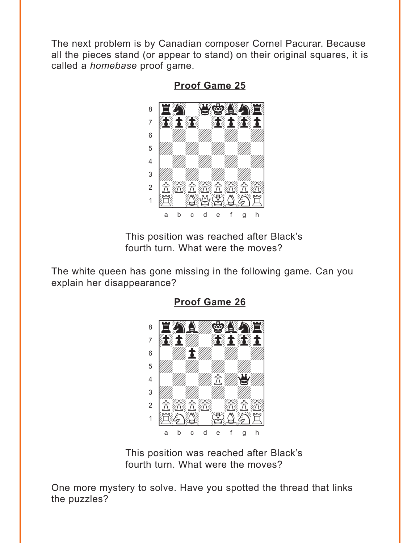<span id="page-1-0"></span>The next problem is by Canadian composer Cornel Pacurar. Because all the pieces stand (or appear to stand) on their original squares, it is called a *homebase* proof game.



**[Proof Game 25](#page-4-0)**

This position was reached after Black's fourth turn. What were the moves?

The white queen has gone missing in the following game. Can you explain her disappearance?



**[Proof Game 26](#page-4-0)**

This position was reached after Black's fourth turn. What were the moves?

One more mystery to solve. Have you spotted the thread that links the puzzles?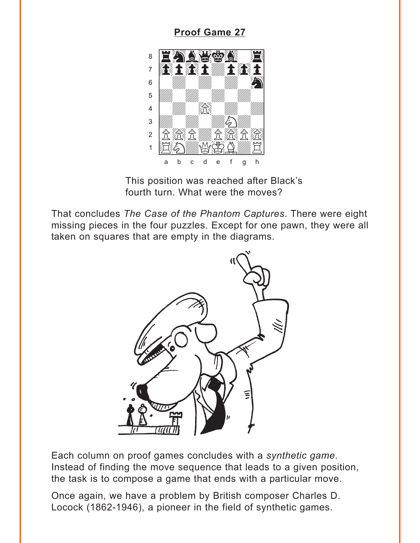### **Proof Game 27**

<span id="page-2-0"></span>

This position was reached after Black's fourth turn. What were the moves?

That concludes The Case of the Phantom Captures. There were eight missing pieces in the four puzzles. Except for one pawn, they were all taken on squares that are empty in the diagrams.



Each column on proof games concludes with a synthetic game. Instead of finding the move sequence that leads to a given position, the task is to compose a game that ends with a particular move.

Once again, we have a problem by British composer Charles D. Locock (1862-1946), a pioneer in the field of synthetic games.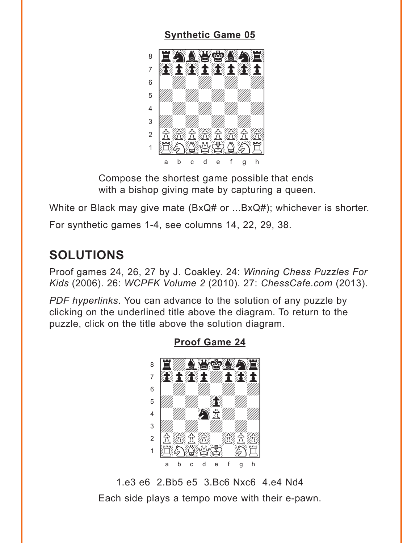#### **Synthetic Game 05**

<span id="page-3-0"></span>

Compose the shortest game possible that ends with a bishop giving mate by capturing a queen.

White or Black may give mate (BxQ# or ...BxQ#); whichever is shorter.

For synthetic games 1-4, see columns 14, 22, 29, 38.

## **SOLUTIONS**

Proof games 24, 26, 27 by J. Coakley. 24: Winning Chess Puzzles For Kids (2006). 26: WCPFK Volume 2 (2010). 27: ChessCafe.com (2013).

PDF hyperlinks. You can advance to the solution of any puzzle by clicking on the underlined title above the diagram. To return to the puzzle, click on the title above the solution diagram.



**Proof Game 24** 

1.e3 e6 2.Bb5 e5 3.Bc6 Nxc6 4.e4 Nd4 Each side plays a tempo move with their e-pawn.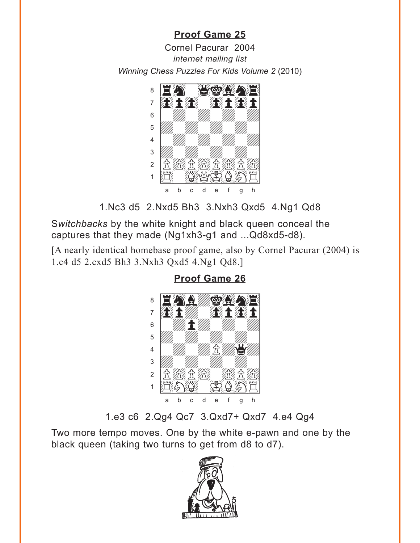## **[Proof Game 25](#page-1-0)**

<span id="page-4-0"></span>Cornel Pacurar 2004 *internet mailing list*  Winning Chess Puzzles For Kids Volume 2 (2010)<br>————————————————————



1.Nc3 d5 2.Nxd5 Bh3 3.Nxh3 Qxd5 4.Ng1 Qd8

S*witchbacks* by the white knight and black queen conceal the captures that they made (Ng1xh3-g1 and ...Qd8xd5-d8).

[A nearly identical homebase proof game, also by Cornel Pacurar (2004) is 1.c4 d5 2.cxd5 Bh3 3.Nxh3 [Qxd5 4.Ng1 Qd8.\]](#page-1-0)

## **Proof Game 26**



1.e3 c6 2.Qg4 Qc7 3.Qxd7+ Qxd7 4.e4 Qg4

Two more tempo moves. One by the white e-pawn and one by the black queen (taking two turns to get from d8 to d7).

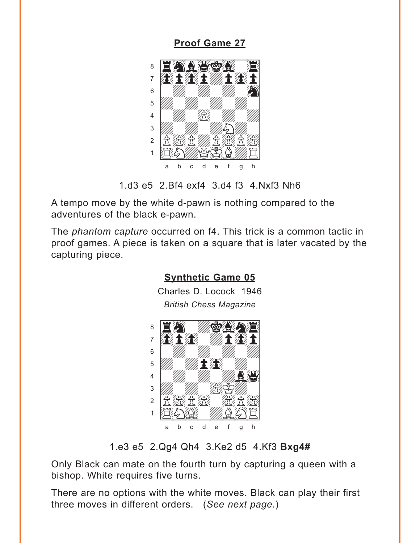<span id="page-5-0"></span>**[Proof Game 27](#page-2-0)**



1.d3 e5 2.Bf4 exf4 3.d4 f3 4.Nxf3 Nh6

A tempo move by the white d-pawn is nothing compared to the adventures of the black e-pawn.

The *phantom capture* occurred on f4. This trick is a common tactic in proof games. A piece is taken on a square that is later vacated by the capturing piece.



### 1.e3 e5 2.Qg4 Qh4 3.Ke2 d5 4.Kf3 **Bxg4#**

Only Black can mate on the fourth turn by capturing a queen with a bishop. White requires five turns.

There are no options with the white moves. Black can play their first three moves in different orders. (*See next page.*)

## **[Synthetic Game 05](#page-3-0)**

Charles D. Locock 1946